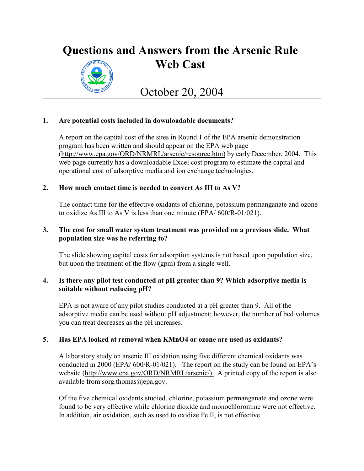# **Questions and Answers from the Arsenic Rule Web Cast**



October 20, 2004

# **1. Are potential costs included in downloadable documents?**

A report on the capital cost of the sites in Round 1 of the EPA arsenic demonstration program has been written and should appear on the EPA web page [\(http://www.epa.gov/ORD/NRMRL/arsenic/resource.htm\)](http://(http://www.epa.gov/ORD/NRMRL/arsenic/)) by early December, 2004. This web page currently has a downloadable Excel cost program to estimate the capital and operational cost of adsorptive media and ion exchange technologies.

# **2. How much contact time is needed to convert As III to As V?**

The contact time for the effective oxidants of chlorine, potassium permanganate and ozone to oxidize As III to As V is less than one minute (EPA/ 600/R-01/021).

# **3. The cost for small water system treatment was provided on a previous slide. What population size was he referring to?**

The slide showing capital costs for adsorption systems is not based upon population size, but upon the treatment of the flow (gpm) from a single well.

# **4. Is there any pilot test conducted at pH greater than 9? Which adsorptive media is suitable without reducing pH?**

EPA is not aware of any pilot studies conducted at a pH greater than 9. All of the adsorptive media can be used without pH adjustment; however, the number of bed volumes you can treat decreases as the pH increases.

# **5. Has EPA looked at removal when KMnO4 or ozone are used as oxidants?**

A laboratory study on arsenic III oxidation using five different chemical oxidants was conducted in 2000 (EPA/ 600/R-01/021). The report on the study can be found on EPA's website [\(http://www.epa.gov/ORD/NRMRL/arsenic/\).](http://(http://www.epa.gov/ORD/NRMRL/arsenic/)) A printed copy of the report is also available from [sorg.thomas@epa.gov.](mailto:sorg.thomas@epa.gov.)

Of the five chemical oxidants studied, chlorine, potassium permanganate and ozone were found to be very effective while chlorine dioxide and monochloromine were not effective. In addition, air oxidation, such as used to oxidize Fe II, is not effective.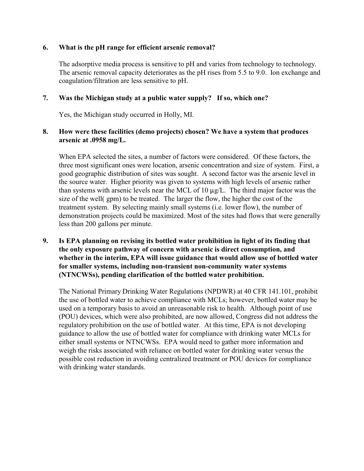#### **6. What is the pH range for efficient arsenic removal?**

The adsorptive media process is sensitive to pH and varies from technology to technology. The arsenic removal capacity deteriorates as the pH rises from 5.5 to 9.0. Ion exchange and coagulation/filtration are less sensitive to pH.

## **7. Was the Michigan study at a public water supply? If so, which one?**

Yes, the Michigan study occurred in Holly, MI.

### **8. How were these facilities (demo projects) chosen? We have a system that produces arsenic at .0958 mg/L.**

When EPA selected the sites, a number of factors were considered. Of these factors, the three most significant ones were location, arsenic concentration and size of system. First, a good geographic distribution of sites was sought. A second factor was the arsenic level in the source water. Higher priority was given to systems with high levels of arsenic rather than systems with arsenic levels near the MCL of 10  $\mu$ g/L. The third major factor was the size of the well( gpm) to be treated. The larger the flow, the higher the cost of the treatment system. By selecting mainly small systems (i.e. lower flow), the number of demonstration projects could be maximized. Most of the sites had flows that were generally less than 200 gallons per minute.

## **9. Is EPA planning on revising its bottled water prohibition in light of its finding that the only exposure pathway of concern with arsenic is direct consumption, and whether in the interim, EPA will issue guidance that would allow use of bottled water for smaller systems, including non-transient non-community water systems (NTNCWSs), pending clarification of the bottled water prohibition.**

The National Primary Drinking Water Regulations (NPDWR) at 40 CFR 141.101, prohibit the use of bottled water to achieve compliance with MCLs; however, bottled water may be used on a temporary basis to avoid an unreasonable risk to health. Although point of use (POU) devices, which were also prohibited, are now allowed, Congress did not address the regulatory prohibition on the use of bottled water. At this time, EPA is not developing guidance to allow the use of bottled water for compliance with drinking water MCLs for either small systems or NTNCWSs. EPA would need to gather more information and weigh the risks associated with reliance on bottled water for drinking water versus the possible cost reduction in avoiding centralized treatment or POU devices for compliance with drinking water standards.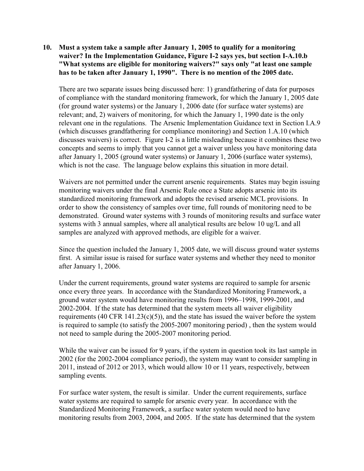**10. Must a system take a sample after January 1, 2005 to qualify for a monitoring waiver? In the Implementation Guidance, Figure I-2 says yes, but section I-A.10.b "What systems are eligible for monitoring waivers?" says only "at least one sample has to be taken after January 1, 1990". There is no mention of the 2005 date.**

There are two separate issues being discussed here: 1) grandfathering of data for purposes of compliance with the standard monitoring framework, for which the January 1, 2005 date (for ground water systems) or the January 1, 2006 date (for surface water systems) are relevant; and, 2) waivers of monitoring, for which the January 1, 1990 date is the only relevant one in the regulations. The Arsenic Implementation Guidance text in Section I.A.9 (which discusses grandfathering for compliance monitoring) and Section 1.A.10 (which discusses waivers) is correct. Figure I-2 is a little misleading because it combines these two concepts and seems to imply that you cannot get a waiver unless you have monitoring data after January 1, 2005 (ground water systems) or January 1, 2006 (surface water systems), which is not the case. The language below explains this situation in more detail.

Waivers are not permitted under the current arsenic requirements. States may begin issuing monitoring waivers under the final Arsenic Rule once a State adopts arsenic into its standardized monitoring framework and adopts the revised arsenic MCL provisions. In order to show the consistency of samples over time, full rounds of monitoring need to be demonstrated. Ground water systems with 3 rounds of monitoring results and surface water systems with 3 annual samples, where all analytical results are below 10 ug/L and all samples are analyzed with approved methods, are eligible for a waiver.

Since the question included the January 1, 2005 date, we will discuss ground water systems first. A similar issue is raised for surface water systems and whether they need to monitor after January 1, 2006.

Under the current requirements, ground water systems are required to sample for arsenic once every three years. In accordance with the Standardized Monitoring Framework, a ground water system would have monitoring results from 1996–1998, 1999-2001, and 2002-2004. If the state has determined that the system meets all waiver eligibility requirements (40 CFR  $141.23(c)(5)$ ), and the state has issued the waiver before the system is required to sample (to satisfy the 2005-2007 monitoring period) , then the system would not need to sample during the 2005-2007 monitoring period.

While the waiver can be issued for 9 years, if the system in question took its last sample in 2002 (for the 2002-2004 compliance period), the system may want to consider sampling in 2011, instead of 2012 or 2013, which would allow 10 or 11 years, respectively, between sampling events.

For surface water system, the result is similar. Under the current requirements, surface water systems are required to sample for arsenic every year. In accordance with the Standardized Monitoring Framework, a surface water system would need to have monitoring results from 2003, 2004, and 2005. If the state has determined that the system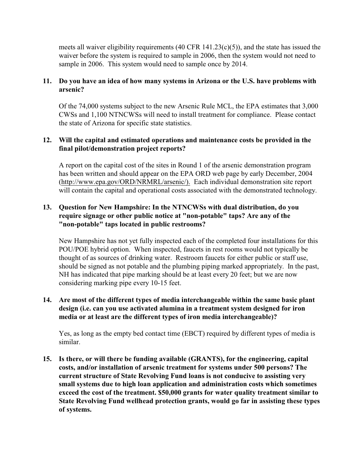meets all waiver eligibility requirements (40 CFR 141.23(c)(5)), and the state has issued the waiver before the system is required to sample in 2006, then the system would not need to sample in 2006. This system would need to sample once by 2014.

# **11. Do you have an idea of how many systems in Arizona or the U.S. have problems with arsenic?**

Of the 74,000 systems subject to the new Arsenic Rule MCL, the EPA estimates that 3,000 CWSs and 1,100 NTNCWSs will need to install treatment for compliance. Please contact the state of Arizona for specific state statistics.

# **12. Will the capital and estimated operations and maintenance costs be provided in the final pilot/demonstration project reports?**

A report on the capital cost of the sites in Round 1 of the arsenic demonstration program has been written and should appear on the EPA ORD web page by early December, 2004 [\(http://www.epa.gov/ORD/NRMRL/arsenic/\).](http://(http://www.epa.gov/ORD/NRMRL/arsenic/).) Each individual demonstration site report will contain the capital and operational costs associated with the demonstrated technology.

# **13. Question for New Hampshire: In the NTNCWSs with dual distribution, do you require signage or other public notice at "non-potable" taps? Are any of the "non-potable" taps located in public restrooms?**

New Hampshire has not yet fully inspected each of the completed four installations for this POU/POE hybrid option. When inspected, faucets in rest rooms would not typically be thought of as sources of drinking water. Restroom faucets for either public or staff use, should be signed as not potable and the plumbing piping marked appropriately. In the past, NH has indicated that pipe marking should be at least every 20 feet; but we are now considering marking pipe every 10-15 feet.

# **14. Are most of the different types of media interchangeable within the same basic plant design (i.e. can you use activated alumina in a treatment system designed for iron media or at least are the different types of iron media interchangeable)?**

Yes, as long as the empty bed contact time (EBCT) required by different types of media is similar.

**15. Is there, or will there be funding available (GRANTS), for the engineering, capital costs, and/or installation of arsenic treatment for systems under 500 persons? The current structure of State Revolving Fund loans is not conducive to assisting very small systems due to high loan application and administration costs which sometimes exceed the cost of the treatment. \$50,000 grants for water quality treatment similar to State Revolving Fund wellhead protection grants, would go far in assisting these types of systems.**